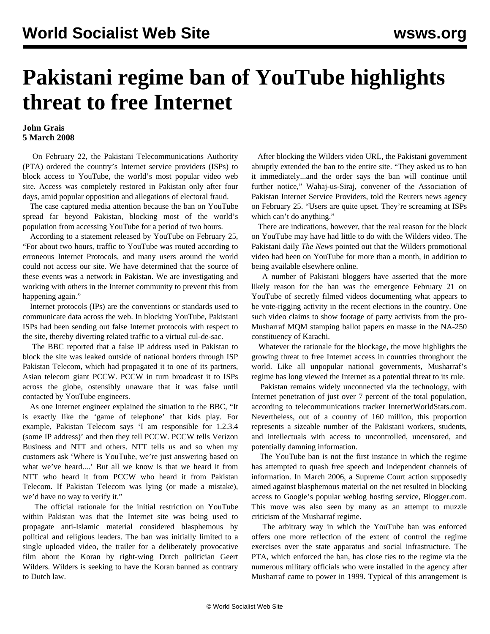## **Pakistani regime ban of YouTube highlights threat to free Internet**

## **John Grais 5 March 2008**

 On February 22, the Pakistani Telecommunications Authority (PTA) ordered the country's Internet service providers (ISPs) to block access to YouTube, the world's most popular video web site. Access was completely restored in Pakistan only after four days, amid popular opposition and allegations of electoral fraud.

 The case captured media attention because the ban on YouTube spread far beyond Pakistan, blocking most of the world's population from accessing YouTube for a period of two hours.

 According to a statement released by YouTube on February 25, "For about two hours, traffic to YouTube was routed according to erroneous Internet Protocols, and many users around the world could not access our site. We have determined that the source of these events was a network in Pakistan. We are investigating and working with others in the Internet community to prevent this from happening again."

 Internet protocols (IPs) are the conventions or standards used to communicate data across the web. In blocking YouTube, Pakistani ISPs had been sending out false Internet protocols with respect to the site, thereby diverting related traffic to a virtual cul-de-sac.

 The BBC reported that a false IP address used in Pakistan to block the site was leaked outside of national borders through ISP Pakistan Telecom, which had propagated it to one of its partners, Asian telecom giant PCCW. PCCW in turn broadcast it to ISPs across the globe, ostensibly unaware that it was false until contacted by YouTube engineers.

 As one Internet engineer explained the situation to the BBC, "It is exactly like the 'game of telephone' that kids play. For example, Pakistan Telecom says 'I am responsible for 1.2.3.4 (some IP address)' and then they tell PCCW. PCCW tells Verizon Business and NTT and others. NTT tells us and so when my customers ask 'Where is YouTube, we're just answering based on what we've heard....' But all we know is that we heard it from NTT who heard it from PCCW who heard it from Pakistan Telecom. If Pakistan Telecom was lying (or made a mistake), we'd have no way to verify it."

 The official rationale for the initial restriction on YouTube within Pakistan was that the Internet site was being used to propagate anti-Islamic material considered blasphemous by political and religious leaders. The ban was initially limited to a single uploaded video, the trailer for a deliberately provocative film about the Koran by right-wing Dutch politician Geert Wilders. Wilders is seeking to have the Koran banned as contrary to Dutch law.

 After blocking the Wilders video URL, the Pakistani government abruptly extended the ban to the entire site. "They asked us to ban it immediately...and the order says the ban will continue until further notice," Wahaj-us-Siraj, convener of the Association of Pakistan Internet Service Providers, told the Reuters news agency on February 25. "Users are quite upset. They're screaming at ISPs which can't do anything."

 There are indications, however, that the real reason for the block on YouTube may have had little to do with the Wilders video. The Pakistani daily *The News* pointed out that the Wilders promotional video had been on YouTube for more than a month, in addition to being available elsewhere online.

 A number of Pakistani bloggers have asserted that the more likely reason for the ban was the emergence February 21 on YouTube of secretly filmed videos documenting what appears to be vote-rigging activity in the recent elections in the country. One such video claims to show footage of party activists from the pro-Musharraf MQM stamping ballot papers en masse in the NA-250 constituency of Karachi.

 Whatever the rationale for the blockage, the move highlights the growing threat to free Internet access in countries throughout the world. Like all unpopular national governments, Musharraf's regime has long viewed the Internet as a potential threat to its rule.

 Pakistan remains widely unconnected via the technology, with Internet penetration of just over 7 percent of the total population, according to telecommunications tracker InternetWorldStats.com. Nevertheless, out of a country of 160 million, this proportion represents a sizeable number of the Pakistani workers, students, and intellectuals with access to uncontrolled, uncensored, and potentially damning information.

 The YouTube ban is not the first instance in which the regime has attempted to quash free speech and independent channels of information. In March 2006, a Supreme Court action supposedly aimed against blasphemous material on the net resulted in blocking access to Google's popular weblog hosting service, Blogger.com. This move was also seen by many as an attempt to muzzle criticism of the Musharraf regime.

 The arbitrary way in which the YouTube ban was enforced offers one more reflection of the extent of control the regime exercises over the state apparatus and social infrastructure. The PTA, which enforced the ban, has close ties to the regime via the numerous military officials who were installed in the agency after Musharraf came to power in 1999. Typical of this arrangement is